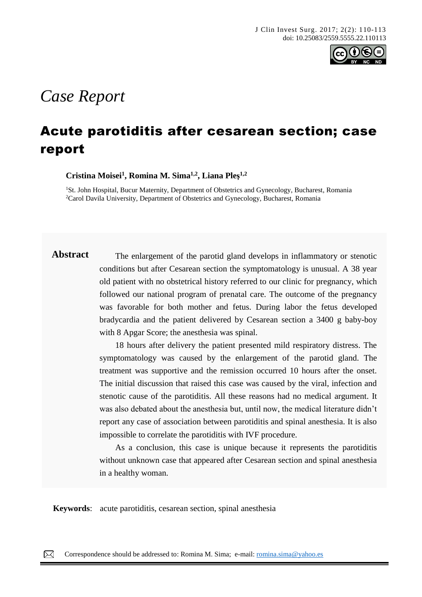

# *Case Report*

# Acute parotiditis after cesarean section; case report

**Cristina Moisei<sup>1</sup> , Romina M. Sima1,2, Liana Pleş 1,2**

<sup>1</sup>St. John Hospital, Bucur Maternity, Department of Obstetrics and Gynecology, Bucharest, Romania <sup>2</sup>Carol Davila University, Department of Obstetrics and Gynecology, Bucharest, Romania

**Abstract** The enlargement of the parotid gland develops in inflammatory or stenotic conditions but after Cesarean section the symptomatology is unusual. A 38 year old patient with no obstetrical history referred to our clinic for pregnancy, which followed our national program of prenatal care. The outcome of the pregnancy was favorable for both mother and fetus. During labor the fetus developed bradycardia and the patient delivered by Cesarean section a 3400 g baby-boy with 8 Apgar Score; the anesthesia was spinal.

> 18 hours after delivery the patient presented mild respiratory distress. The symptomatology was caused by the enlargement of the parotid gland. The treatment was supportive and the remission occurred 10 hours after the onset. The initial discussion that raised this case was caused by the viral, infection and stenotic cause of the parotiditis. All these reasons had no medical argument. It was also debated about the anesthesia but, until now, the medical literature didn't report any case of association between parotiditis and spinal anesthesia. It is also impossible to correlate the parotiditis with IVF procedure.

> As a conclusion, this case is unique because it represents the parotiditis without unknown case that appeared after Cesarean section and spinal anesthesia in a healthy woman.

**Keywords**: acute parotiditis, cesarean section, spinal anesthesia

 $\boxtimes$ Correspondence should be addressed to: Romina M. Sima; e-mail: [romina.sima@yahoo.es](mailto:romina.sima@yahoo.es)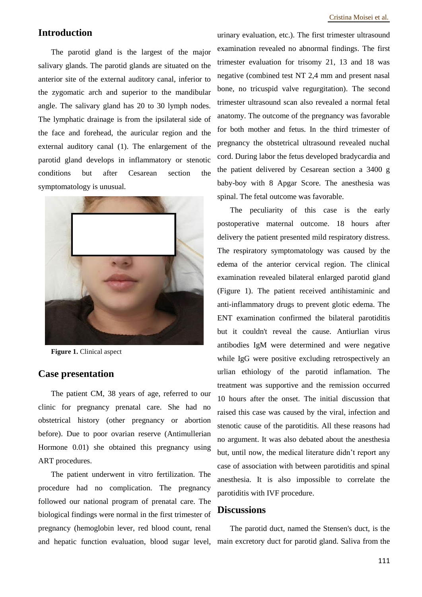## **Introduction**

The parotid gland is the largest of the major salivary glands. The parotid glands are situated on the anterior site of the external auditory canal, inferior to the zygomatic arch and superior to the mandibular angle. The salivary gland has 20 to 30 lymph nodes. The lymphatic drainage is from the ipsilateral side of the face and forehead, the auricular region and the external auditory canal (1). The enlargement of the parotid gland develops in inflammatory or stenotic conditions but after Cesarean section the symptomatology is unusual.



**Figure 1.** Clinical aspect

#### **Case presentation**

The patient CM, 38 years of age, referred to our clinic for pregnancy prenatal care. She had no obstetrical history (other pregnancy or abortion before). Due to poor ovarian reserve (Antimullerian Hormone 0.01) she obtained this pregnancy using ART procedures.

The patient underwent in vitro fertilization. The procedure had no complication. The pregnancy followed our national program of prenatal care. The biological findings were normal in the first trimester of pregnancy (hemoglobin lever, red blood count, renal

urinary evaluation, etc.). The first trimester ultrasound examination revealed no abnormal findings. The first trimester evaluation for trisomy 21, 13 and 18 was negative (combined test NT 2,4 mm and present nasal bone, no tricuspid valve regurgitation). The second trimester ultrasound scan also revealed a normal fetal anatomy. The outcome of the pregnancy was favorable for both mother and fetus. In the third trimester of pregnancy the obstetrical ultrasound revealed nuchal cord. During labor the fetus developed bradycardia and the patient delivered by Cesarean section a 3400 g baby-boy with 8 Apgar Score. The anesthesia was spinal. The fetal outcome was favorable.

The peculiarity of this case is the early postoperative maternal outcome. 18 hours after delivery the patient presented mild respiratory distress. The respiratory symptomatology was caused by the edema of the anterior cervical region. The clinical examination revealed bilateral enlarged parotid gland (Figure 1). The patient received antihistaminic and anti-inflammatory drugs to prevent glotic edema. The ENT examination confirmed the bilateral parotiditis but it couldn't reveal the cause. Antiurlian virus antibodies IgM were determined and were negative while IgG were positive excluding retrospectively an urlian ethiology of the parotid inflamation. The treatment was supportive and the remission occurred 10 hours after the onset. The initial discussion that raised this case was caused by the viral, infection and stenotic cause of the parotiditis. All these reasons had no argument. It was also debated about the anesthesia but, until now, the medical literature didn't report any case of association with between parotiditis and spinal anesthesia. It is also impossible to correlate the parotiditis with IVF procedure.

#### **Discussions**

and hepatic function evaluation, blood sugar level, main excretory duct for parotid gland. Saliva from the The parotid duct, named the Stensen's duct, is the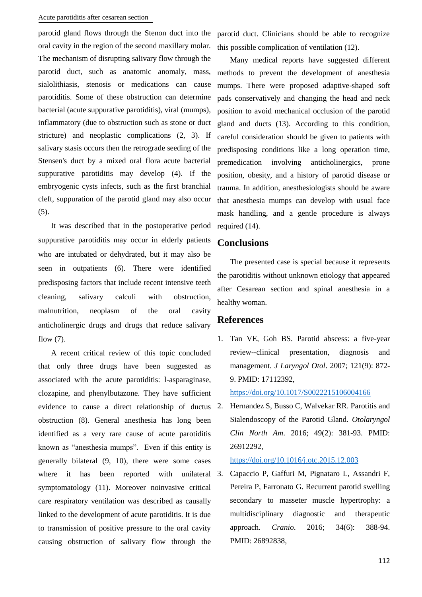parotid gland flows through the Stenon duct into the parotid duct. Clinicians should be able to recognize oral cavity in the region of the second maxillary molar. The mechanism of disrupting salivary flow through the parotid duct, such as anatomic anomaly, mass, sialolithiasis, stenosis or medications can cause parotiditis. Some of these obstruction can determine bacterial (acute suppurative parotiditis), viral (mumps), inflammatory (due to obstruction such as stone or duct stricture) and neoplastic complications (2, 3). If salivary stasis occurs then the retrograde seeding of the Stensen's duct by a mixed oral flora acute bacterial suppurative parotiditis may develop (4). If the embryogenic cysts infects, such as the first branchial cleft, suppuration of the parotid gland may also occur (5).

It was described that in the postoperative period suppurative parotiditis may occur in elderly patients who are intubated or dehydrated, but it may also be seen in outpatients (6). There were identified predisposing factors that include recent intensive teeth cleaning, salivary calculi with obstruction, malnutrition, neoplasm of the oral cavity anticholinergic drugs and drugs that reduce salivary flow (7).

A recent critical review of this topic concluded that only three drugs have been suggested as associated with the acute parotiditis: l-asparaginase, clozapine, and phenylbutazone. They have sufficient evidence to cause a direct relationship of ductus 2. obstruction (8). General anesthesia has long been identified as a very rare cause of acute parotiditis known as "anesthesia mumps". Even if this entity is generally bilateral (9, 10), there were some cases where it has been reported with unilateral 3. symptomatology (11). Moreover noinvasive critical care respiratory ventilation was described as causally linked to the development of acute parotiditis. It is due to transmission of positive pressure to the oral cavity causing obstruction of salivary flow through the

this possible complication of ventilation (12).

Many medical reports have suggested different methods to prevent the development of anesthesia mumps. There were proposed adaptive-shaped soft pads conservatively and changing the head and neck position to avoid mechanical occlusion of the parotid gland and ducts (13). According to this condition, careful consideration should be given to patients with predisposing conditions like a long operation time, premedication involving anticholinergics, prone position, obesity, and a history of parotid disease or trauma. In addition, anesthesiologists should be aware that anesthesia mumps can develop with usual face mask handling, and a gentle procedure is always required (14).

### **Conclusions**

The presented case is special because it represents the parotiditis without unknown etiology that appeared after Cesarean section and spinal anesthesia in a healthy woman.

#### **References**

1. Tan VE, Goh BS. Parotid abscess: a five-year review--clinical presentation, diagnosis and management. *J Laryngol Otol*. 2007; 121(9): 872- 9. PMID: 17112392,

<https://doi.org/10.1017/S0022215106004166>

Hernandez S, Busso C, Walvekar RR. Parotitis and Sialendoscopy of the Parotid Gland. *Otolaryngol Clin North Am*. 2016; 49(2): 381-93. PMID: 26912292,

#### <https://doi.org/10.1016/j.otc.2015.12.003>

3. Capaccio P, Gaffuri M, Pignataro L, Assandri F, Pereira P, Farronato G. Recurrent parotid swelling secondary to masseter muscle hypertrophy: a multidisciplinary diagnostic and therapeutic approach. *Cranio*. 2016; 34(6): 388-94. PMID: 26892838,